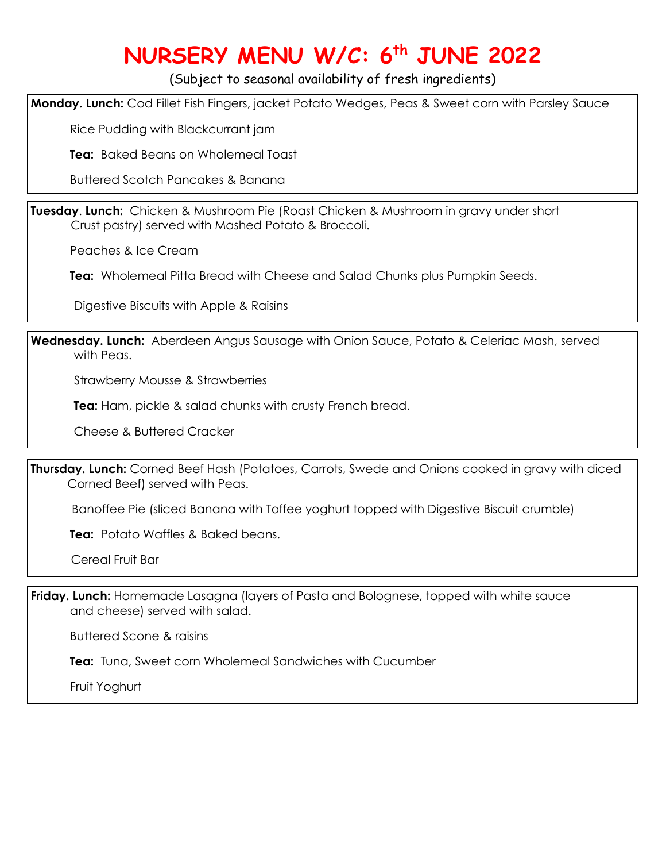# **NURSERY MENU W/C: 6 th JUNE 2022**

(Subject to seasonal availability of fresh ingredients)

**Monday. Lunch:** Cod Fillet Fish Fingers, jacket Potato Wedges, Peas & Sweet corn with Parsley Sauce

Rice Pudding with Blackcurrant jam

**Tea:** Baked Beans on Wholemeal Toast

Buttered Scotch Pancakes & Banana

**Tuesday**. **Lunch:** Chicken & Mushroom Pie (Roast Chicken & Mushroom in gravy under short Crust pastry) served with Mashed Potato & Broccoli.

Peaches & Ice Cream

I

**Tea:** Wholemeal Pitta Bread with Cheese and Salad Chunks plus Pumpkin Seeds.

Digestive Biscuits with Apple & Raisins

**Wednesday. Lunch:** Aberdeen Angus Sausage with Onion Sauce, Potato & Celeriac Mash, served with Peas.

Strawberry Mousse & Strawberries

**Tea:** Ham, pickle & salad chunks with crusty French bread.

Cheese & Buttered Cracker

**Thursday. Lunch:** Corned Beef Hash (Potatoes, Carrots, Swede and Onions cooked in gravy with diced Corned Beef) served with Peas.

Banoffee Pie (sliced Banana with Toffee yoghurt topped with Digestive Biscuit crumble)

**Tea:** Potato Waffles & Baked beans.

Cereal Fruit Bar

**Friday. Lunch:** Homemade Lasagna (layers of Pasta and Bolognese, topped with white sauce and cheese) served with salad.

Buttered Scone & raisins

 **Tea:** Tuna, Sweet corn Wholemeal Sandwiches with Cucumber

Fruit Yoghurt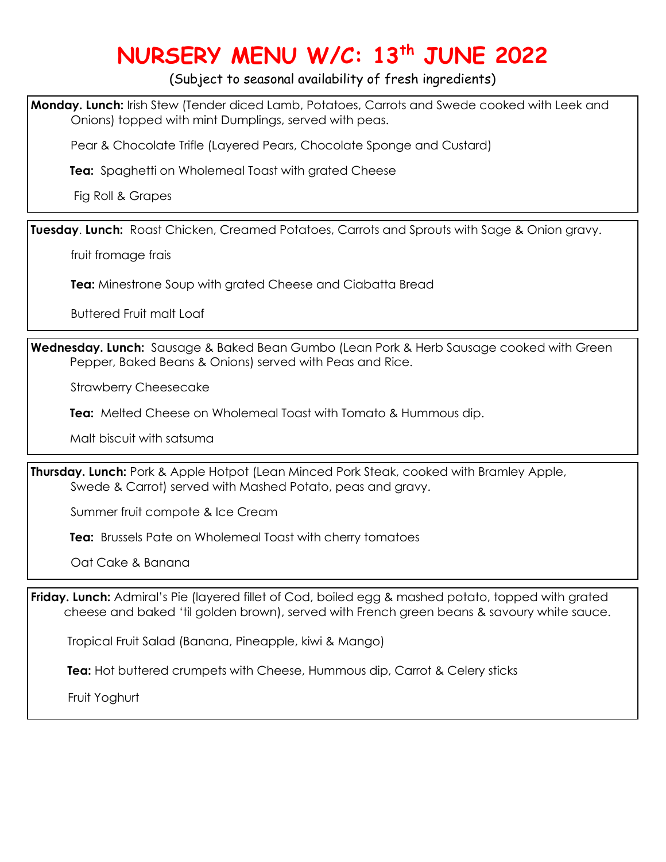## **NURSERY MENU W/C: 13th JUNE 2022**

(Subject to seasonal availability of fresh ingredients)

**Monday. Lunch:** Irish Stew (Tender diced Lamb, Potatoes, Carrots and Swede cooked with Leek and Onions) topped with mint Dumplings, served with peas.

Pear & Chocolate Trifle (Layered Pears, Chocolate Sponge and Custard)

**Tea:** Spaghetti on Wholemeal Toast with grated Cheese

Fig Roll & Grapes

ֺֺ

**Tuesday**. **Lunch:** Roast Chicken, Creamed Potatoes, Carrots and Sprouts with Sage & Onion gravy.

fruit fromage frais

 **Tea:** Minestrone Soup with grated Cheese and Ciabatta Bread

Buttered Fruit malt Loaf

**Wednesday. Lunch:** Sausage & Baked Bean Gumbo (Lean Pork & Herb Sausage cooked with Green Pepper, Baked Beans & Onions) served with Peas and Rice.

Strawberry Cheesecake

**Tea:** Melted Cheese on Wholemeal Toast with Tomato & Hummous dip.

Malt biscuit with satsuma

**Thursday. Lunch:** Pork & Apple Hotpot (Lean Minced Pork Steak, cooked with Bramley Apple, Swede & Carrot) served with Mashed Potato, peas and gravy.

Summer fruit compote & Ice Cream

**Tea:** Brussels Pate on Wholemeal Toast with cherry tomatoes

Oat Cake & Banana

**Friday. Lunch:** Admiral's Pie (layered fillet of Cod, boiled egg & mashed potato, topped with grated cheese and baked 'til golden brown), served with French green beans & savoury white sauce.

Tropical Fruit Salad (Banana, Pineapple, kiwi & Mango)

**Tea:** Hot buttered crumpets with Cheese, Hummous dip, Carrot & Celery sticks

Fruit Yoghurt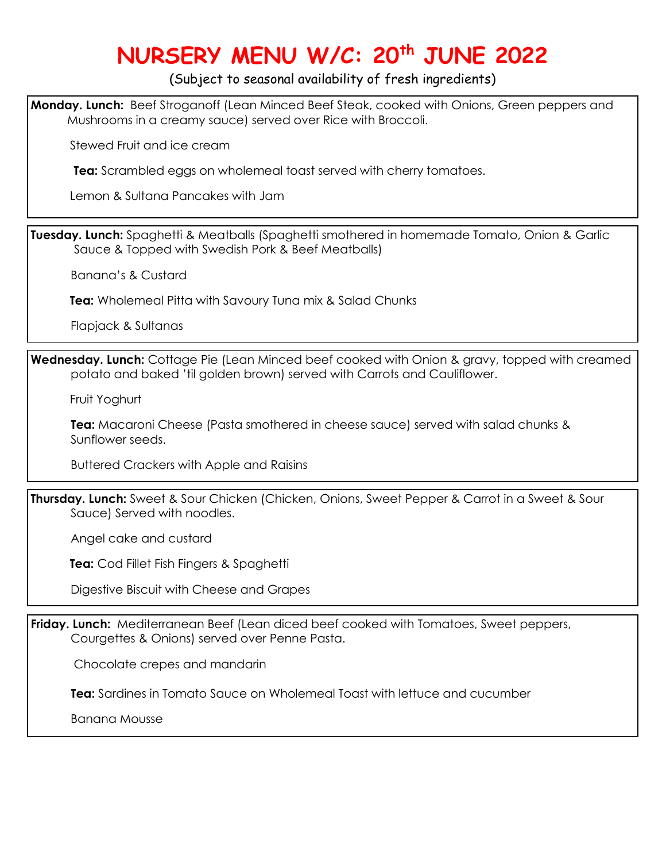## **NURSERY MENU W/C: 20th JUNE 2022**

#### (Subject to seasonal availability of fresh ingredients)

**Monday. Lunch:** Beef Stroganoff (Lean Minced Beef Steak, cooked with Onions, Green peppers and Mushrooms in a creamy sauce) served over Rice with Broccoli.

Stewed Fruit and ice cream

**Tea:** Scrambled eggs on wholemeal toast served with cherry tomatoes.

Lemon & Sultana Pancakes with Jam

**Tuesday. Lunch:** Spaghetti & Meatballs (Spaghetti smothered in homemade Tomato, Onion & Garlic Sauce & Topped with Swedish Pork & Beef Meatballs)

Banana's & Custard

l

l

l

 **Tea:** Wholemeal Pitta with Savoury Tuna mix & Salad Chunks

Flapjack & Sultanas

**Wednesday. Lunch:** Cottage Pie (Lean Minced beef cooked with Onion & gravy, topped with creamed potato and baked 'til golden brown) served with Carrots and Cauliflower.

Fruit Yoghurt

 **Tea:** Macaroni Cheese (Pasta smothered in cheese sauce) served with salad chunks & Sunflower seeds.

Buttered Crackers with Apple and Raisins

**Thursday. Lunch:** Sweet & Sour Chicken (Chicken, Onions, Sweet Pepper & Carrot in a Sweet & Sour Sauce) Served with noodles.

Angel cake and custard

**Tea:** Cod Fillet Fish Fingers & Spaghetti

Digestive Biscuit with Cheese and Grapes

**Friday. Lunch:** Mediterranean Beef (Lean diced beef cooked with Tomatoes, Sweet peppers, Courgettes & Onions) served over Penne Pasta.

Chocolate crepes and mandarin

 **Tea:** Sardines in Tomato Sauce on Wholemeal Toast with lettuce and cucumber

Banana Mousse